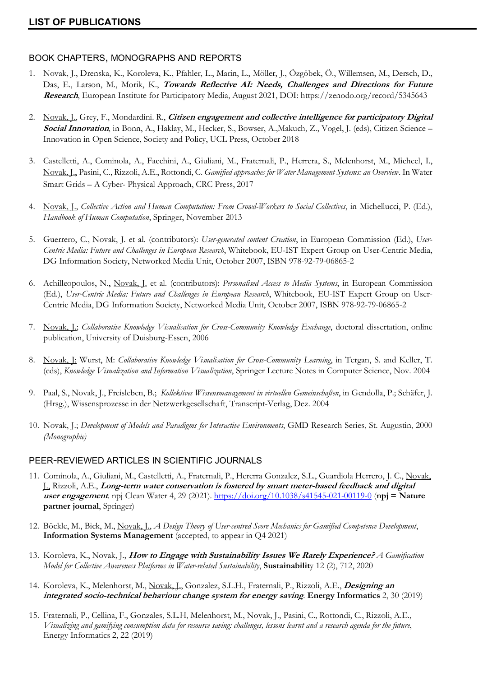## BOOK CHAPTERS, MONOGRAPHS AND REPORTS

- 1. Novak, J., Drenska, K., Koroleva, K., Pfahler, L., Marin, L., Möller, J., Özgöbek, Ö., Willemsen, M., Dersch, D., Das, E., Larson, M., Morik, K., **Towards Reflective AI: Needs, Challenges and Directions for Future Research**, European Institute for Participatory Media, August 2021, DOI: https://zenodo.org/record/5345643
- 2. Novak, J., Grey, F., Mondardini. R., **Citizen engagement and collective intelligence for participatory Digital Social Innovation**, in Bonn, A., Haklay, M., Hecker, S., Bowser, A.,Makuch, Z., Vogel, J. (eds), Citizen Science – Innovation in Open Science, Society and Policy, UCL Press, October 2018
- 3. Castelletti, A., Cominola, A., Facchini, A., Giuliani, M., Fraternali, P., Herrera, S., Melenhorst, M., Micheel, I., Novak, J., Pasini, C., Rizzoli, A.E., Rottondi, C. *Gamified approaches for Water Management Systems: an Overview*. In Water Smart Grids – A Cyber- Physical Approach, CRC Press, 2017
- 4. Novak, J., *Collective Action and Human Computation: From Crowd-Workers to Social Collectives*, in Michellucci, P. (Ed.), *Handbook of Human Computation*, Springer, November 2013
- 5. Guerrero, C., Novak, J. et al. (contributors): *User-generated content Creation*, in European Commission (Ed.), *User-Centric Media: Future and Challenges in European Research*, Whitebook, EU-IST Expert Group on User-Centric Media, DG Information Society, Networked Media Unit, October 2007, ISBN 978-92-79-06865-2
- 6. Achilleopoulos, N., Novak, J. et al. (contributors): *Personalised Access to Media Systems*, in European Commission (Ed.), *User-Centric Media: Future and Challenges in European Research*, Whitebook, EU-IST Expert Group on User-Centric Media, DG Information Society, Networked Media Unit, October 2007, ISBN 978-92-79-06865-2
- 7. Novak, J.; *Collaborative Knowledge Visualisation for Cross-Community Knowledge Exchange*, doctoral dissertation, online publication, University of Duisburg-Essen, 2006
- 8. Novak, J; Wurst, M: *Collaborative Knowledge Visualisation for Cross-Community Learning*, in Tergan, S. and Keller, T. (eds), *Knowledge Visualization and Information Visualization*, Springer Lecture Notes in Computer Science, Nov. 2004
- 9. Paal, S., Novak, J., Freisleben, B.; *Kollektives Wissensmanagement in virtuellen Gemeinschaften*, in Gendolla, P.; Schäfer, J. (Hrsg.), Wissensprozesse in der Netzwerkgesellschaft, Transcript-Verlag, Dez. 2004
- 10. Novak, J.; *Development of Models and Paradigms for Interactive Environments*, GMD Research Series, St. Augustin, 2000 *(Monographie)*

# PEER-REVIEWED ARTICLES IN SCIENTIFIC JOURNALS

- 11. Cominola, A., Giuliani, M., Castelletti, A., Fraternali, P., Hererra Gonzalez, S.L., Guardiola Herrero, J. C., Novak, J., Rizzoli, A.E., **Long-term water conservation is fostered by smart meter-based feedback and digital user engagement**. npj Clean Water 4, 29 (2021). https://doi.org/10.1038/s41545-021-00119-0 (**npj = Nature partner journal**, Springer)
- 12. Böckle, M., Bick, M., Novak, J., *A Design Theory of User-centred Score Mechanics for Gamified Competence Development*, **Information Systems Management** (accepted, to appear in Q4 2021)
- 13. Koroleva, K., Novak, J., **How to Engage with Sustainability Issues We Rarely Experience?** *A Gamification Model for Collective Awareness Platforms in Water-related Sustainability*, **Sustainabilit**y 12 (2), 712, 2020
- 14. Koroleva, K., Melenhorst, M., Novak, J., Gonzalez, S.L.H., Fraternali, P., Rizzoli, A.E., **Designing an integrated socio-technical behaviour change system for energy saving***.* **Energy Informatics** 2, 30 (2019)
- 15. Fraternali, P., Cellina, F., Gonzales, S.L.H, Melenhorst, M., Novak, J., Pasini, C., Rottondi, C., Rizzoli, A.E., *Visualizing and gamifying consumption data for resource saving: challenges, lessons learnt and a research agenda for the future*, Energy Informatics 2, 22 (2019)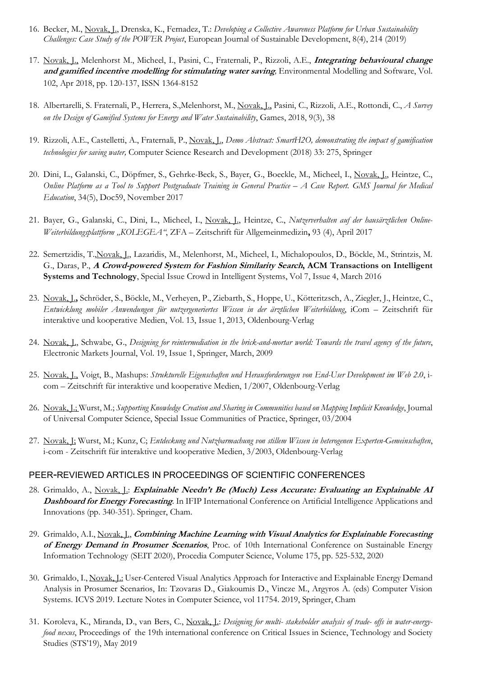- 16. Becker, M., Novak, J., Drenska, K., Fernadez, T.: *Developing a Collective Awareness Platform for Urban Sustainability Challenges: Case Study of the POWER Project*, European Journal of Sustainable Development, 8(4), 214 (2019)
- 17. Novak, J., Melenhorst M., Micheel, I., Pasini, C., Fraternali, P., Rizzoli, A.E., **Integrating behavioural change and gamified incentive modelling for stimulating water saving***,* Environmental Modelling and Software, Vol. 102, Apr 2018, pp. 120-137, ISSN 1364-8152
- 18. Albertarelli, S. Fraternali, P., Herrera, S.,Melenhorst, M., Novak, J., Pasini, C., Rizzoli, A.E., Rottondi, C., *A Survey on the Design of Gamified Systems for Energy and Water Sustainability*, Games, 2018, 9(3), 38
- 19. Rizzoli, A.E., Castelletti, A., Fraternali, P., Novak, J., *Demo Abstract: SmartH2O, demonstrating the impact of gamification technologies for saving water,* Computer Science Research and Development (2018) 33: 275, Springer
- 20. Dini, L., Galanski, C., Döpfmer, S., Gehrke-Beck, S., Bayer, G., Boeckle, M., Micheel, I., Novak, J., Heintze, C., *Online Platform as a Tool to Support Postgraduate Training in General Practice – A Case Report. GMS Journal for Medical Education*, 34(5), Doc59, November 2017
- 21. Bayer, G., Galanski, C., Dini, L., Micheel, I., Novak, J., Heintze, C., *Nutzerverhalten auf der hausärztlichen Online-Weiterbildungsplattform "KOLEGEA"*, ZFA – Zeitschrift für Allgemeinmedizin**,** 93 (4), April 2017
- 22. Semertzidis, T.,Novak, J., Lazaridis, M., Melenhorst, M., Micheel, I., Michalopoulos, D., Böckle, M., Strintzis, M. G., Daras, P., **A Crowd-powered System for Fashion Similarity Search, ACM Transactions on Intelligent Systems and Technology**, Special Issue Crowd in Intelligent Systems, Vol 7, Issue 4, March 2016
- 23. Novak, J.**,** Schröder, S., Böckle, M., Verheyen, P., Ziebarth, S., Hoppe, U., Kötteritzsch, A., Ziegler, J., Heintze, C., *Entwicklung mobiler Anwendungen für nutzergeneriertes Wissen in der ärztlichen Weiterbildung*, iCom – Zeitschrift für interaktive und kooperative Medien, Vol. 13, Issue 1, 2013, Oldenbourg-Verlag
- 24. Novak, J., Schwabe, G., *Designing for reintermediation in the brick-and-mortar world: Towards the travel agency of the future*, Electronic Markets Journal, Vol. 19, Issue 1, Springer, March, 2009
- 25. Novak, J., Voigt, B., Mashups: *Strukturelle Eigenschaften und Herausforderungen von End-User Development im Web 2.0*, icom – Zeitschrift für interaktive und kooperative Medien, 1/2007, Oldenbourg-Verlag
- 26. Novak, J.; Wurst, M.; *Supporting Knowledge Creation and Sharing in Communities based on Mapping Implicit Knowledge*, Journal of Universal Computer Science, Special Issue Communities of Practice, Springer, 03/2004
- 27. Novak, J; Wurst, M.; Kunz, C; *Entdeckung und Nutzbarmachung von stillem Wissen in heterogenen Experten-Gemeinschaften*, i-com - Zeitschrift für interaktive und kooperative Medien, 3/2003, Oldenbourg-Verlag

### PEER-REVIEWED ARTICLES IN PROCEEDINGS OF SCIENTIFIC CONFERENCES

- 28. Grimaldo, A., Novak, J.: **Explainable Needn't Be (Much) Less Accurate: Evaluating an Explainable AI Dashboard for Energy Forecasting**. In IFIP International Conference on Artificial Intelligence Applications and Innovations (pp. 340-351). Springer, Cham.
- 29. Grimaldo, A.I., Novak, J., **Combining Machine Learning with Visual Analytics for Explainable Forecasting of Energy Demand in Prosumer Scenarios**, Proc. of 10th International Conference on Sustainable Energy Information Technology (SEIT 2020), Procedia Computer Science, Volume 175, pp. 525-532, 2020
- 30. Grimaldo, I., Novak, J.: User-Centered Visual Analytics Approach for Interactive and Explainable Energy Demand Analysis in Prosumer Scenarios, In: Tzovaras D., Giakoumis D., Vincze M., Argyros A. (eds) Computer Vision Systems. ICVS 2019. Lecture Notes in Computer Science, vol 11754. 2019, Springer, Cham
- 31. Koroleva, K., Miranda, D., van Bers, C., Novak, J.: *Designing for multi- stakeholder analysis of trade- offs in water-energyfood nexus*, Proceedings of the 19th international conference on Critical Issues in Science, Technology and Society Studies (STS'19), May 2019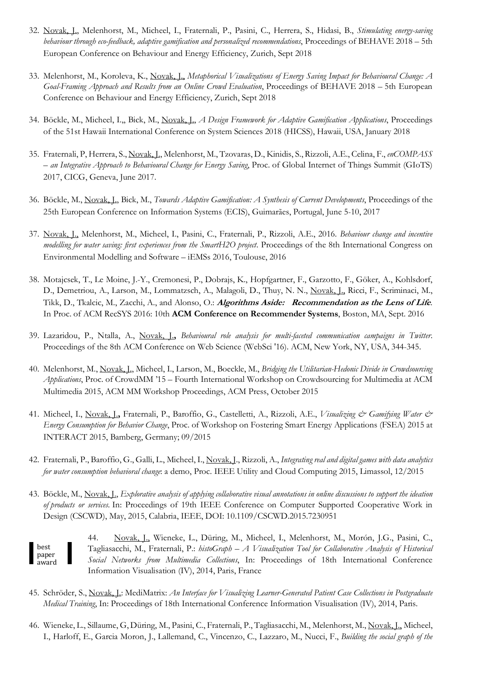- 32. Novak, J., Melenhorst, M., Micheel, I., Fraternali, P., Pasini, C., Herrera, S., Hidasi, B., *Stimulating energysaving behaviour through ecofeedback, adaptive gamification and personalized recommendations*, Proceedings of BEHAVE 2018 – 5th European Conference on Behaviour and Energy Efficiency, Zurich, Sept 2018
- 33. Melenhorst, M., Koroleva, K., Novak, J., *Metaphorical Visualizations of Energy Saving Impact for Behavioural Change: A GoalFraming Approach and Results from an Online Crowd Evaluation*, Proceedings of BEHAVE 2018 – 5th European Conference on Behaviour and Energy Efficiency, Zurich, Sept 2018
- 34. Böckle, M., Micheel, I.,, Bick, M., Novak, J., *A Design Framework for Adaptive Gamification Applications*, Proceedings of the 51st Hawaii International Conference on System Sciences 2018 (HICSS), Hawaii, USA, January 2018
- 35. Fraternali, P, Herrera, S., Novak, J., Melenhorst, M., Tzovaras, D., Kinidis, S., Rizzoli, A.E., Celina, F., *enCOMPASS – an Integrative Approach to Behavioural Change for Energy Saving*, Proc. of Global Internet of Things Summit (GIoTS) 2017, CICG, Geneva, June 2017.
- 36. Böckle, M., Novak, J., Bick, M., *Towards Adaptive Gamification: A Synthesis of Current Developments*, Proceedings of the 25th European Conference on Information Systems (ECIS), Guimarães, Portugal, June 5-10, 2017
- 37. Novak, J., Melenhorst, M., Micheel, I., Pasini, C., Fraternali, P., Rizzoli, A.E., 2016. *Behaviour change and incentive modelling for water saving: first experiences from the SmartH2O project*. Proceedings of the 8th International Congress on Environmental Modelling and Software – iEMSs 2016, Toulouse, 2016
- 38. Motajcsek, T., Le Moine, J.-Y., Cremonesi, P., Dobrajs, K., Hopfgartner, F., Garzotto, F., Göker, A., Kohlsdorf, D., Demetriou, A., Larson, M., Lommatzsch, A., Malagoli, D., Thuy, N. N., Novak, J., Ricci, F., Scriminaci, M., Tikk, D., Tkalcic, M., Zacchi, A., and Alonso, O.: **Algorithms Aside: Recommendation as the Lens of Life**. In Proc. of ACM RecSYS 2016: 10th **ACM Conference on Recommender Systems**, Boston, MA, Sept. 2016
- 39. Lazaridou, P., Ntalla, A., Novak, J.**,** *Behavioural role analysis for multi-faceted communication campaigns in Twitter*. Proceedings of the 8th ACM Conference on Web Science (WebSci '16). ACM, New York, NY, USA, 344-345.
- 40. Melenhorst, M., Novak, J., Micheel, I., Larson, M., Boeckle, M., *Bridging the Utilitarian-Hedonic Divide in Crowdsourcing Applications*, Proc. of CrowdMM '15 – Fourth International Workshop on Crowdsourcing for Multimedia at ACM Multimedia 2015, ACM MM Workshop Proceedings, ACM Press, October 2015
- 41. Micheel, I., Novak, J.**,** Fraternali, P., Baroffio, G., Castelletti, A., Rizzoli, A.E., *Visualizing & Gamifying Water & Energy Consumption for Behavior Change*, Proc. of Workshop on Fostering Smart Energy Applications (FSEA) 2015 at INTERACT 2015, Bamberg, Germany; 09/2015
- 42. Fraternali, P., Baroffio, G., Galli, L., Micheel, I., Novak, J., Rizzoli, A., *Integrating real and digital games with data analytics for water consumption behavioral change*: a demo, Proc. IEEE Utility and Cloud Computing 2015, Limassol, 12/2015
- 43. Böckle, M., Novak, J., *Explorative analysis of applying collaborative visual annotations in online discussions to support the ideation of products or services*. In: Proceedings of 19th IEEE Conference on Computer Supported Cooperative Work in Design (CSCWD), May, 2015, Calabria, IEEE, DOI: 10.1109/CSCWD.2015.7230951

44. Novak, J., Wieneke, L., Düring, M., Micheel, I., Melenhorst, M., Morón, J.G., Pasini, C., Tagliasacchi, M., Fraternali, P.: *histoGraph – A Visualization Tool for Collaborative Analysis of Historical Social Networks from Multimedia Collections*, In: Proceedings of 18th International Conference Information Visualisation (IV), 2014, Paris, France best paper award

- 45. Schröder, S., Novak, J.: MediMatrix: *An Interface for Visualizing Learner-Generated Patient Case Collections in Postgraduate Medical Training*, In: Proceedings of 18th International Conference Information Visualisation (IV), 2014, Paris.
- 46. Wieneke, L., Sillaume, G, Düring, M., Pasini, C., Fraternali, P., Tagliasacchi, M., Melenhorst, M., Novak, J., Micheel, I., Harloff, E., Garcia Moron, J., Lallemand, C., Vincenzo, C., Lazzaro, M., Nucci, F., *Building the social graph of the*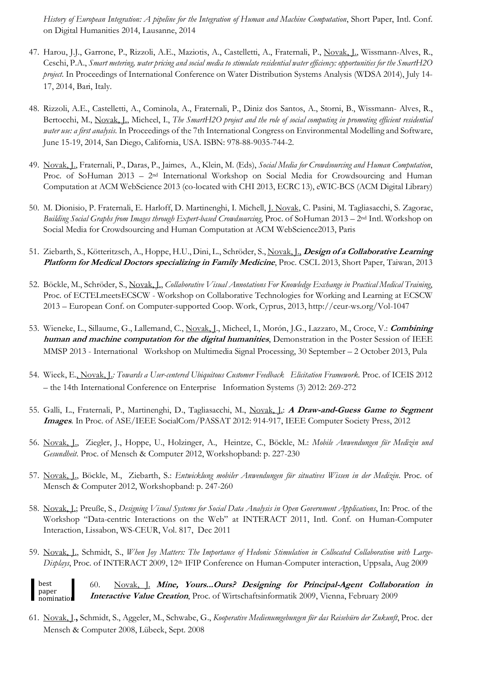*History of European Integration: A pipeline for the Integration of Human and Machine Computation*, Short Paper, Intl. Conf. on Digital Humanities 2014, Lausanne, 2014

- 47. Harou, J.J., Garrone, P., Rizzoli, A.E., Maziotis, A., Castelletti, A., Fraternali, P., Novak, J., Wissmann-Alves, R., Ceschi, P.A., *Smart metering, water pricing and social media to stimulate residential water efficiency: opportunities for the SmartH2O project*. In Proceedings of International Conference on Water Distribution Systems Analysis (WDSA 2014), July 14- 17, 2014, Bari, Italy.
- 48. Rizzoli, A.E., Castelletti, A., Cominola, A., Fraternali, P., Diniz dos Santos, A., Storni, B., Wissmann- Alves, R., Bertocchi, M., Novak, L., Micheel, I., *The SmartH2O project and the role of social computing in promoting efficient residential water use: a first analysis*. In Proceedings of the 7th International Congress on Environmental Modelling and Software, June 15-19, 2014, San Diego, California, USA. ISBN: 978-88-9035-744-2.
- 49. Novak, J., Fraternali, P., Daras, P., Jaimes, A., Klein, M. (Eds), *Social Media for Crowdsourcing and Human Computation*, Proc. of SoHuman 2013 – 2nd International Workshop on Social Media for Crowdsourcing and Human Computation at ACM WebScience 2013 (co-located with CHI 2013, ECRC 13), eWIC-BCS (ACM Digital Library)
- 50. M. Dionisio, P. Fraternali, E. Harloff, D. Martinenghi, I. Michell, J. Novak, C. Pasini, M. Tagliasacchi, S. Zagorac, *Building Social Graphs from Images through Expert-based Crowdsourcing*, Proc. of SoHuman 2013 – 2nd Intl. Workshop on Social Media for Crowdsourcing and Human Computation at ACM WebScience2013, Paris
- 51. Ziebarth, S., Kötteritzsch, A., Hoppe, H.U., Dini, L., Schröder, S., Novak, J., **Design of a Collaborative Learning Platform for Medical Doctors specializing in Family Medicine**, Proc. CSCL 2013, Short Paper, Taiwan, 2013
- 52. Böckle, M., Schröder, S., Novak, J., *Collaborative Visual Annotations For Knowledge Exchange in Practical Medical Training*, Proc. of ECTELmeetsECSCW - Workshop on Collaborative Technologies for Working and Learning at ECSCW 2013 – European Conf. on Computer-supported Coop. Work, Cyprus, 2013, http://ceur-ws.org/Vol-1047
- 53. Wieneke, L., Sillaume, G., Lallemand, C., Novak, J., Micheel, I., Morón, J.G., Lazzaro, M., Croce, V.: **Combining human and machine computation for the digital humanities**, Demonstration in the Poster Session of IEEE MMSP 2013 - International Workshop on Multimedia Signal Processing, 30 September – 2 October 2013, Pula
- 54. Wieck, E., Novak, J.*: Towards a Usercentered Ubiquitous Customer Feedback Elicitation Framework.* Proc. of ICEIS 2012 – the 14th International Conference on Enterprise Information Systems (3) 2012: 269-272
- 55. Galli, L., Fraternali, P., Martinenghi, D., Tagliasacchi, M., Novak, J.: **A Draw-and-Guess Game to Segment Images**. In Proc. of ASE/IEEE SocialCom/PASSAT 2012: 914-917, IEEE Computer Society Press, 2012
- 56. Novak, J., Ziegler, J., Hoppe, U., Holzinger, A., Heintze, C., Böckle, M.: *Mobile Anwendungen für Medizin und Gesundheit*. Proc. of Mensch & Computer 2012, Workshopband: p. 227-230
- 57. Novak, J., Böckle, M., Ziebarth, S.: *Entwicklung mobiler Anwendungen für situatives Wissen in der Medizin*. Proc. of Mensch & Computer 2012, Workshopband: p. 247-260
- 58. Novak, J.; Preuße, S., *Designing Visual Systems for Social Data Analysis in Open Government Applications*, In: Proc. of the Workshop "Data-centric Interactions on the Web" at INTERACT 2011, Intl. Conf. on Human-Computer Interaction, Lissabon, WS-CEUR, Vol. 817, Dec 2011
- 59. Novak, J., Schmidt, S., *When Joy Matters: The Importance of Hedonic Stimulation in Collocated Collaboration with Large-Displays*, Proc. of INTERACT 2009, 12<sup>th</sup> IFIP Conference on Human-Computer interaction, Uppsala, Aug 2009

60. Novak, J. **Mine, Yours...Ours? Designing for Principal-Agent Collaboration in Interactive Value Creation**, Proc. of Wirtschaftsinformatik 2009, Vienna, February 2009 best paper nomination

61. Novak, J.**,** Schmidt, S., Aggeler, M., Schwabe, G., *Kooperative Medienumgebungen für das Reisebüro der Zukunft*, Proc. der Mensch & Computer 2008, Lübeck, Sept. 2008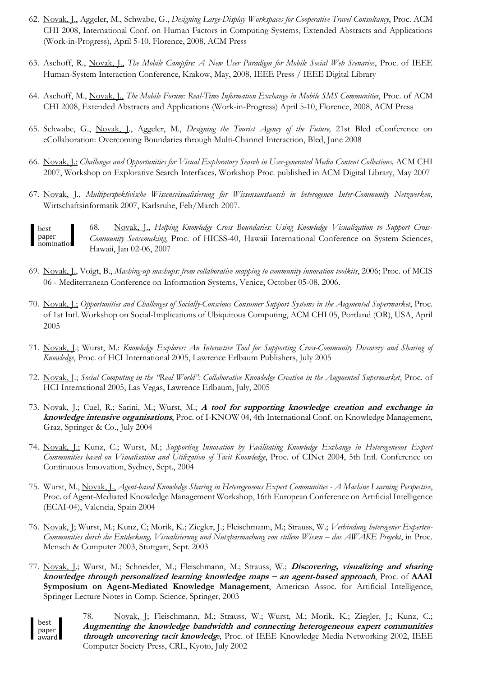- 62. Novak, J., Aggeler, M., Schwabe, G., *Designing Large-Display Workspaces for Cooperative Travel Consultancy*, Proc. ACM CHI 2008, International Conf. on Human Factors in Computing Systems, Extended Abstracts and Applications (Work-in-Progress), April 5-10, Florence, 2008, ACM Press
- 63. Aschoff, R., Novak, J., *The Mobile Campfire: A New User Paradigm for Mobile Social Web Scenarios*, Proc. of IEEE Human-System Interaction Conference, Krakow, May, 2008, IEEE Press / IEEE Digital Library
- 64. Aschoff, M., Novak, J., *The Mobile Forum: Real-Time Information Exchange in Mobile SMS Communities*, Proc. of ACM CHI 2008, Extended Abstracts and Applications (Work-in-Progress) April 5-10, Florence, 2008, ACM Press
- 65. Schwabe, G., Novak, J., Aggeler, M., *Designing the Tourist Agency of the Future,* 21st Bled eConference on eCollaboration: Overcoming Boundaries through Multi-Channel Interaction, Bled, June 2008
- 66. Novak, J.; *Challenges and Opportunities for Visual Exploratory Search in User-generated Media Content Collections,* ACM CHI 2007, Workshop on Explorative Search Interfaces*,* Workshop Proc*.* published in ACM Digital Library, May 2007
- 67. Novak, J., *Multiperspektivische Wissensvisualisierung für Wissensaustausch in heterogenen Inter-Community Netzwerken*, Wirtschaftsinformatik 2007, Karlsruhe, Feb/March 2007.

68. Novak, J., *Helping Knowledge Cross Boundaries: Using Knowledge Visualization to Support Cross-Community Sensemaking*, Proc. of HICSS-40, Hawaii International Conference on System Sciences, Hawaii, Jan 02-06, 2007 best paper nomination

- 69. Novak, J., Voigt, B., *Mashing-up mashups: from collaborative mapping to community innovation toolkits*, 2006; Proc. of MCIS 06 - Mediterranean Conference on Information Systems, Venice, October 05-08, 2006.
- 70. Novak, J.; *Opportunities and Challenges of Socially-Conscious Consumer Support Systems in the Augmented Supermarket*, Proc. of 1st Intl. Workshop on Social-Implications of Ubiquitous Computing, ACM CHI 05, Portland (OR), USA, April 2005
- 71. Novak, J.; Wurst, M.: *Knowledge Explorer: An Interactive Tool for Supporting Cross-Community Discovery and Sharing of Knowledge*, Proc. of HCI International 2005, Lawrence Erlbaum Publishers, July 2005
- 72. Novak, J.; *Social Computing in the "Real World": Collaborative Knowledge Creation in the Augmented Supermarket*, Proc. of HCI International 2005, Las Vegas, Lawrence Erlbaum, July, 2005
- 73. Novak, J.; Cuel, R.; Sarini, M.; Wurst, M.; **A tool for supporting knowledge creation and exchange in knowledge intensive organisations**, Proc. of I-KNOW 04, 4th International Conf. on Knowledge Management, Graz, Springer & Co., July 2004
- 74. Novak, J.; Kunz, C.; Wurst, M.; *Supporting Innovation by Facilitating Knowledge Exchange in Heterogeneous Expert Communities based on Visualisation and Utilization of Tacit Knowledge*, Proc. of CINet 2004, 5th Intl. Conference on Continuous Innovation, Sydney, Sept., 2004
- 75. Wurst, M., Novak, J., *Agent-based Knowledge Sharing in Heterogeneous Expert Communities - A Machine Learning Perspective*, Proc. of Agent-Mediated Knowledge Management Workshop, 16th European Conference on Artificial Intelligence (ECAI-04), Valencia, Spain 2004
- 76. Novak, J; Wurst, M.; Kunz, C; Morik, K.; Ziegler, J.; Fleischmann, M.; Strauss, W.; *Verbindung heterogener Experten-Communities durch die Entdeckung, Visualisierung und Nutzbarmachung von stillem Wissen – das AWAKE Projekt*, in Proc. Mensch & Computer 2003, Stuttgart, Sept. 2003
- 77. Novak, J.; Wurst, M.; Schneider, M.; Fleischmann, M.; Strauss, W.; **Discovering, visualizing and sharing knowledge through personalized learning knowledge maps – an agent-based approach**, Proc. of **AAAI Symposium on Agent-Mediated Knowledge Management**, American Assoc. for Artificial Intelligence, Springer Lecture Notes in Comp. Science, Springer, 2003

best paper award 78. Novak, J; Fleischmann, M.; Strauss, W.; Wurst, M.; Morik, K.; Ziegler, J.; Kunz, C.; **Augmenting the knowledge bandwidth and connecting heterogeneous expert communities through uncovering tacit knowledg***e*, Proc. of IEEE Knowledge Media Networking 2002, IEEE Computer Society Press, CRL, Kyoto, July 2002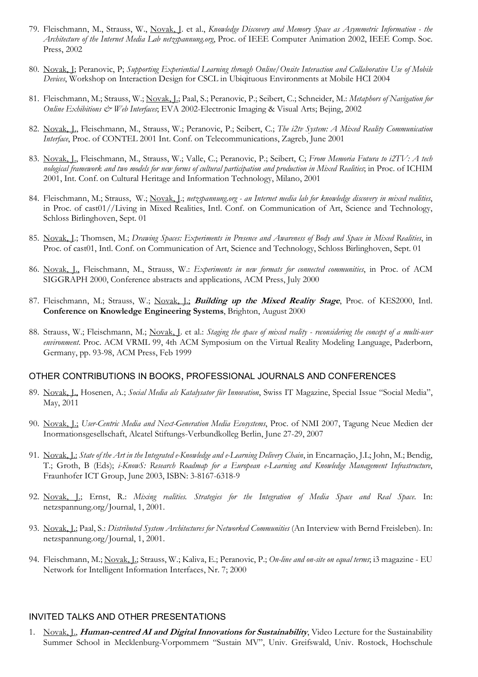- 79. Fleischmann, M., Strauss, W., Novak, J. et al., *Knowledge Discovery and Memory Space as Asymmetric Information - the Architecture of the Internet Media Lab netzspannung.org*, Proc. of IEEE Computer Animation 2002, IEEE Comp. Soc. Press, 2002
- 80. Novak, J; Peranovic, P; *Supporting Experiential Learning through Online/Onsite Interaction and Collaborative Use of Mobile Devices*, Workshop on Interaction Design for CSCL in Ubiqituous Environments at Mobile HCI 2004
- 81. Fleischmann, M.; Strauss, W.; Novak, J.; Paal, S.; Peranovic, P.; Seibert, C.; Schneider, M.: *Metaphors of Navigation for Online Exhibitions & Web Interfaces*; EVA 2002-Electronic Imaging & Visual Arts; Bejing, 2002
- 82. Novak, J., Fleischmann, M., Strauss, W.; Peranovic, P.; Seibert, C.; *The i2tv System: A Mixed Reality Communication Interface*, Proc. of CONTEL 2001 Int. Conf. on Telecommunications, Zagreb, June 2001
- 83. Novak, J., Fleischmann, M., Strauss, W.; Valle, C.; Peranovic, P.; Seibert, C; *From Memoria Futura to i2TV: A tech nological framework and two models for new forms of cultural participation and production in Mixed Realities*; in Proc. of ICHIM 2001, Int. Conf. on Cultural Heritage and Information Technology, Milano, 2001
- 84. Fleischmann, M.; Strauss, W.; Novak, J.; *netzspannung.org - an Internet media lab for knowledge discovery in mixed realities*, in Proc. of cast01//Living in Mixed Realities, Intl. Conf. on Communication of Art, Science and Technology, Schloss Birlinghoven, Sept. 01
- 85. Novak, J.; Thomsen, M.; *Drawing Spaces: Experiments in Presence and Awareness of Body and Space in Mixed Realities*, in Proc. of cast01, Intl. Conf. on Communication of Art, Science and Technology, Schloss Birlinghoven, Sept. 01
- 86. Novak, J., Fleischmann, M., Strauss, W.: *Experiments in new formats for connected communities*, in Proc. of ACM SIGGRAPH 2000, Conference abstracts and applications, ACM Press, July 2000
- 87. Fleischmann, M.; Strauss, W.; Novak, J.; **Building up the Mixed Reality Stage**, Proc. of KES2000, Intl. **Conference on Knowledge Engineering Systems**, Brighton, August 2000
- 88. Strauss, W.; Fleischmann, M.; Novak, J. et al.: *Staging the space of mixed reality - reconsidering the concept of a multi-user environment*. Proc. ACM VRML 99, 4th ACM Symposium on the Virtual Reality Modeling Language, Paderborn, Germany, pp. 93-98, ACM Press, Feb 1999

#### OTHER CONTRIBUTIONS IN BOOKS, PROFESSIONAL JOURNALS AND CONFERENCES

- 89. Novak, J., Hosenen, A.; *Social Media als Katalysator für Innovation*, Swiss IT Magazine, Special Issue "Social Media", May, 2011
- 90. Novak, J.; *User-Centric Media and Next-Generation Media Ecosystems*, Proc. of NMI 2007, Tagung Neue Medien der Inormationsgesellschaft, Alcatel Stiftungs-Verbundkolleg Berlin, June 27-29, 2007
- 91. Novak, J.: *State of the Art in the Integrated e-Knowledge and e-Learning Delivery Chain*, in Encarnação, J.L; John, M.; Bendig, T.; Groth, B (Eds); *i-KnowS: Research Roadmap for a European e-Learning and Knowledge Management Infrastructure*, Fraunhofer ICT Group, June 2003, ISBN: 3-8167-6318-9
- 92. Novak, J.; Ernst, R.: *Mixing realities. Strategies for the Integration of Media Space and Real Space*. In: netzspannung.org/Journal, 1, 2001.
- 93. Novak, J.; Paal, S.: *Distributed System Architectures for Networked Communities* (An Interview with Bernd Freisleben). In: netzspannung.org/Journal, 1, 2001.
- 94. Fleischmann, M.; Novak, J.; Strauss, W.; Kaliva, E.; Peranovic, P.; *On-line and on-site on equal terms*; i3 magazine EU Network for Intelligent Information Interfaces, Nr. 7; 2000

### INVITED TALKS AND OTHER PRESENTATIONS

1. Novak, J., **Human-centred AI and Digital Innovations for Sustainability**, Video Lecture for the Sustainability Summer School in Mecklenburg-Vorpommern "Sustain MV", Univ. Greifswald, Univ. Rostock, Hochschule